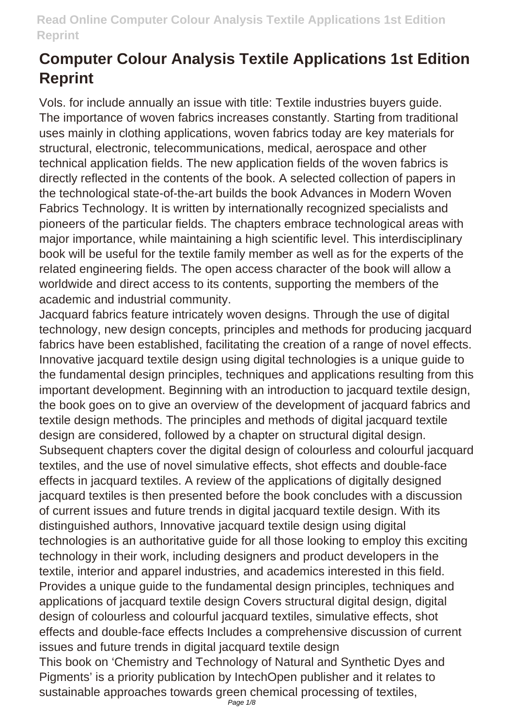Vols. for include annually an issue with title: Textile industries buyers guide. The importance of woven fabrics increases constantly. Starting from traditional uses mainly in clothing applications, woven fabrics today are key materials for structural, electronic, telecommunications, medical, aerospace and other technical application fields. The new application fields of the woven fabrics is directly reflected in the contents of the book. A selected collection of papers in the technological state-of-the-art builds the book Advances in Modern Woven Fabrics Technology. It is written by internationally recognized specialists and pioneers of the particular fields. The chapters embrace technological areas with major importance, while maintaining a high scientific level. This interdisciplinary book will be useful for the textile family member as well as for the experts of the related engineering fields. The open access character of the book will allow a worldwide and direct access to its contents, supporting the members of the academic and industrial community.

Jacquard fabrics feature intricately woven designs. Through the use of digital technology, new design concepts, principles and methods for producing jacquard fabrics have been established, facilitating the creation of a range of novel effects. Innovative jacquard textile design using digital technologies is a unique guide to the fundamental design principles, techniques and applications resulting from this important development. Beginning with an introduction to jacquard textile design, the book goes on to give an overview of the development of jacquard fabrics and textile design methods. The principles and methods of digital jacquard textile design are considered, followed by a chapter on structural digital design. Subsequent chapters cover the digital design of colourless and colourful jacquard textiles, and the use of novel simulative effects, shot effects and double-face effects in jacquard textiles. A review of the applications of digitally designed jacquard textiles is then presented before the book concludes with a discussion of current issues and future trends in digital jacquard textile design. With its distinguished authors, Innovative jacquard textile design using digital technologies is an authoritative guide for all those looking to employ this exciting technology in their work, including designers and product developers in the textile, interior and apparel industries, and academics interested in this field. Provides a unique guide to the fundamental design principles, techniques and applications of jacquard textile design Covers structural digital design, digital design of colourless and colourful jacquard textiles, simulative effects, shot effects and double-face effects Includes a comprehensive discussion of current issues and future trends in digital jacquard textile design This book on 'Chemistry and Technology of Natural and Synthetic Dyes and

Pigments' is a priority publication by IntechOpen publisher and it relates to sustainable approaches towards green chemical processing of textiles,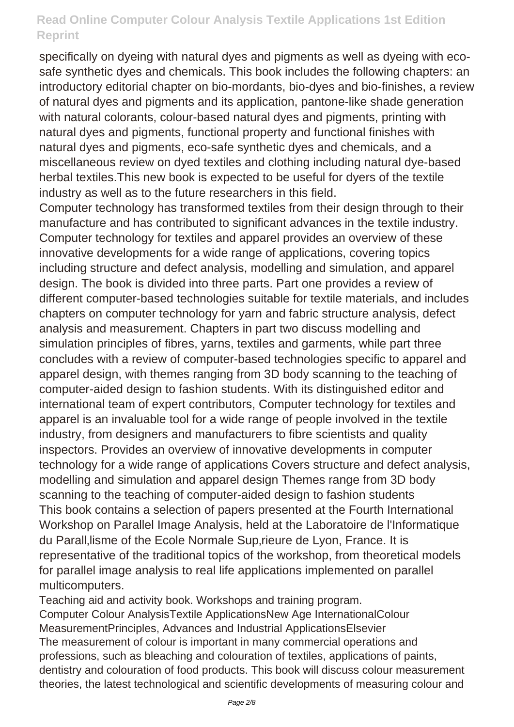specifically on dyeing with natural dyes and pigments as well as dyeing with ecosafe synthetic dyes and chemicals. This book includes the following chapters: an introductory editorial chapter on bio-mordants, bio-dyes and bio-finishes, a review of natural dyes and pigments and its application, pantone-like shade generation with natural colorants, colour-based natural dyes and pigments, printing with natural dyes and pigments, functional property and functional finishes with natural dyes and pigments, eco-safe synthetic dyes and chemicals, and a miscellaneous review on dyed textiles and clothing including natural dye-based herbal textiles.This new book is expected to be useful for dyers of the textile industry as well as to the future researchers in this field.

Computer technology has transformed textiles from their design through to their manufacture and has contributed to significant advances in the textile industry. Computer technology for textiles and apparel provides an overview of these innovative developments for a wide range of applications, covering topics including structure and defect analysis, modelling and simulation, and apparel design. The book is divided into three parts. Part one provides a review of different computer-based technologies suitable for textile materials, and includes chapters on computer technology for yarn and fabric structure analysis, defect analysis and measurement. Chapters in part two discuss modelling and simulation principles of fibres, yarns, textiles and garments, while part three concludes with a review of computer-based technologies specific to apparel and apparel design, with themes ranging from 3D body scanning to the teaching of computer-aided design to fashion students. With its distinguished editor and international team of expert contributors, Computer technology for textiles and apparel is an invaluable tool for a wide range of people involved in the textile industry, from designers and manufacturers to fibre scientists and quality inspectors. Provides an overview of innovative developments in computer technology for a wide range of applications Covers structure and defect analysis, modelling and simulation and apparel design Themes range from 3D body scanning to the teaching of computer-aided design to fashion students This book contains a selection of papers presented at the Fourth International Workshop on Parallel Image Analysis, held at the Laboratoire de l'Informatique du Parall, lisme of the Ecole Normale Sup, rieure de Lyon, France. It is representative of the traditional topics of the workshop, from theoretical models for parallel image analysis to real life applications implemented on parallel multicomputers.

Teaching aid and activity book. Workshops and training program. Computer Colour AnalysisTextile ApplicationsNew Age InternationalColour MeasurementPrinciples, Advances and Industrial ApplicationsElsevier The measurement of colour is important in many commercial operations and professions, such as bleaching and colouration of textiles, applications of paints, dentistry and colouration of food products. This book will discuss colour measurement theories, the latest technological and scientific developments of measuring colour and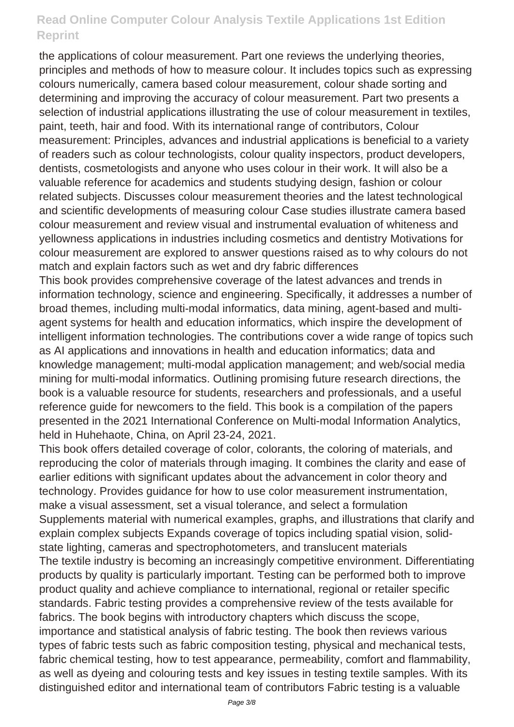the applications of colour measurement. Part one reviews the underlying theories, principles and methods of how to measure colour. It includes topics such as expressing colours numerically, camera based colour measurement, colour shade sorting and determining and improving the accuracy of colour measurement. Part two presents a selection of industrial applications illustrating the use of colour measurement in textiles, paint, teeth, hair and food. With its international range of contributors, Colour measurement: Principles, advances and industrial applications is beneficial to a variety of readers such as colour technologists, colour quality inspectors, product developers, dentists, cosmetologists and anyone who uses colour in their work. It will also be a valuable reference for academics and students studying design, fashion or colour related subjects. Discusses colour measurement theories and the latest technological and scientific developments of measuring colour Case studies illustrate camera based colour measurement and review visual and instrumental evaluation of whiteness and yellowness applications in industries including cosmetics and dentistry Motivations for colour measurement are explored to answer questions raised as to why colours do not match and explain factors such as wet and dry fabric differences

This book provides comprehensive coverage of the latest advances and trends in information technology, science and engineering. Specifically, it addresses a number of broad themes, including multi-modal informatics, data mining, agent-based and multiagent systems for health and education informatics, which inspire the development of intelligent information technologies. The contributions cover a wide range of topics such as AI applications and innovations in health and education informatics; data and knowledge management; multi-modal application management; and web/social media mining for multi-modal informatics. Outlining promising future research directions, the book is a valuable resource for students, researchers and professionals, and a useful reference guide for newcomers to the field. This book is a compilation of the papers presented in the 2021 International Conference on Multi-modal Information Analytics, held in Huhehaote, China, on April 23-24, 2021.

This book offers detailed coverage of color, colorants, the coloring of materials, and reproducing the color of materials through imaging. It combines the clarity and ease of earlier editions with significant updates about the advancement in color theory and technology. Provides guidance for how to use color measurement instrumentation, make a visual assessment, set a visual tolerance, and select a formulation Supplements material with numerical examples, graphs, and illustrations that clarify and explain complex subjects Expands coverage of topics including spatial vision, solidstate lighting, cameras and spectrophotometers, and translucent materials The textile industry is becoming an increasingly competitive environment. Differentiating products by quality is particularly important. Testing can be performed both to improve product quality and achieve compliance to international, regional or retailer specific standards. Fabric testing provides a comprehensive review of the tests available for fabrics. The book begins with introductory chapters which discuss the scope, importance and statistical analysis of fabric testing. The book then reviews various types of fabric tests such as fabric composition testing, physical and mechanical tests, fabric chemical testing, how to test appearance, permeability, comfort and flammability, as well as dyeing and colouring tests and key issues in testing textile samples. With its distinguished editor and international team of contributors Fabric testing is a valuable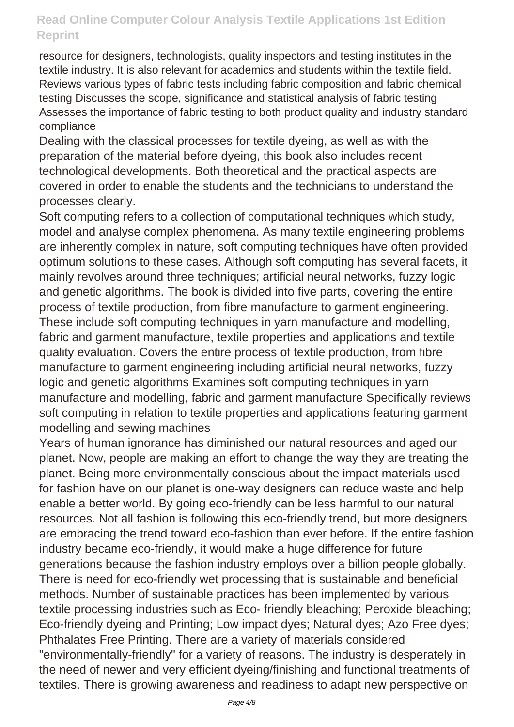resource for designers, technologists, quality inspectors and testing institutes in the textile industry. It is also relevant for academics and students within the textile field. Reviews various types of fabric tests including fabric composition and fabric chemical testing Discusses the scope, significance and statistical analysis of fabric testing Assesses the importance of fabric testing to both product quality and industry standard compliance

Dealing with the classical processes for textile dyeing, as well as with the preparation of the material before dyeing, this book also includes recent technological developments. Both theoretical and the practical aspects are covered in order to enable the students and the technicians to understand the processes clearly.

Soft computing refers to a collection of computational techniques which study, model and analyse complex phenomena. As many textile engineering problems are inherently complex in nature, soft computing techniques have often provided optimum solutions to these cases. Although soft computing has several facets, it mainly revolves around three techniques; artificial neural networks, fuzzy logic and genetic algorithms. The book is divided into five parts, covering the entire process of textile production, from fibre manufacture to garment engineering. These include soft computing techniques in yarn manufacture and modelling, fabric and garment manufacture, textile properties and applications and textile quality evaluation. Covers the entire process of textile production, from fibre manufacture to garment engineering including artificial neural networks, fuzzy logic and genetic algorithms Examines soft computing techniques in yarn manufacture and modelling, fabric and garment manufacture Specifically reviews soft computing in relation to textile properties and applications featuring garment modelling and sewing machines

Years of human ignorance has diminished our natural resources and aged our planet. Now, people are making an effort to change the way they are treating the planet. Being more environmentally conscious about the impact materials used for fashion have on our planet is one-way designers can reduce waste and help enable a better world. By going eco-friendly can be less harmful to our natural resources. Not all fashion is following this eco-friendly trend, but more designers are embracing the trend toward eco-fashion than ever before. If the entire fashion industry became eco-friendly, it would make a huge difference for future generations because the fashion industry employs over a billion people globally. There is need for eco-friendly wet processing that is sustainable and beneficial methods. Number of sustainable practices has been implemented by various textile processing industries such as Eco- friendly bleaching; Peroxide bleaching; Eco-friendly dyeing and Printing; Low impact dyes; Natural dyes; Azo Free dyes; Phthalates Free Printing. There are a variety of materials considered "environmentally-friendly" for a variety of reasons. The industry is desperately in the need of newer and very efficient dyeing/finishing and functional treatments of textiles. There is growing awareness and readiness to adapt new perspective on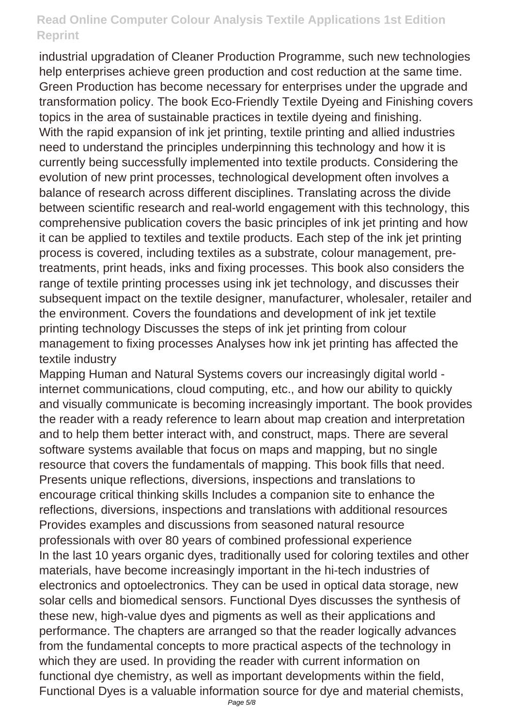industrial upgradation of Cleaner Production Programme, such new technologies help enterprises achieve green production and cost reduction at the same time. Green Production has become necessary for enterprises under the upgrade and transformation policy. The book Eco-Friendly Textile Dyeing and Finishing covers topics in the area of sustainable practices in textile dyeing and finishing. With the rapid expansion of ink jet printing, textile printing and allied industries need to understand the principles underpinning this technology and how it is currently being successfully implemented into textile products. Considering the evolution of new print processes, technological development often involves a balance of research across different disciplines. Translating across the divide between scientific research and real-world engagement with this technology, this comprehensive publication covers the basic principles of ink jet printing and how it can be applied to textiles and textile products. Each step of the ink jet printing process is covered, including textiles as a substrate, colour management, pretreatments, print heads, inks and fixing processes. This book also considers the range of textile printing processes using ink jet technology, and discusses their subsequent impact on the textile designer, manufacturer, wholesaler, retailer and the environment. Covers the foundations and development of ink jet textile printing technology Discusses the steps of ink jet printing from colour management to fixing processes Analyses how ink jet printing has affected the textile industry

Mapping Human and Natural Systems covers our increasingly digital world internet communications, cloud computing, etc., and how our ability to quickly and visually communicate is becoming increasingly important. The book provides the reader with a ready reference to learn about map creation and interpretation and to help them better interact with, and construct, maps. There are several software systems available that focus on maps and mapping, but no single resource that covers the fundamentals of mapping. This book fills that need. Presents unique reflections, diversions, inspections and translations to encourage critical thinking skills Includes a companion site to enhance the reflections, diversions, inspections and translations with additional resources Provides examples and discussions from seasoned natural resource professionals with over 80 years of combined professional experience In the last 10 years organic dyes, traditionally used for coloring textiles and other materials, have become increasingly important in the hi-tech industries of electronics and optoelectronics. They can be used in optical data storage, new solar cells and biomedical sensors. Functional Dyes discusses the synthesis of these new, high-value dyes and pigments as well as their applications and performance. The chapters are arranged so that the reader logically advances from the fundamental concepts to more practical aspects of the technology in which they are used. In providing the reader with current information on functional dye chemistry, as well as important developments within the field, Functional Dyes is a valuable information source for dye and material chemists,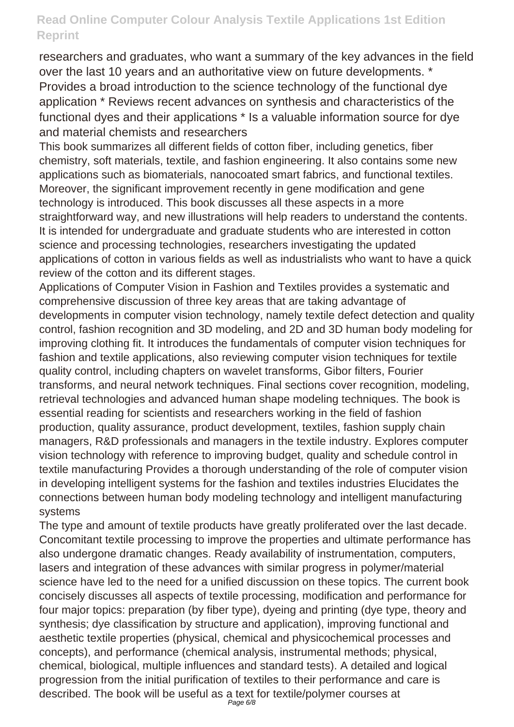researchers and graduates, who want a summary of the key advances in the field over the last 10 years and an authoritative view on future developments. \* Provides a broad introduction to the science technology of the functional dye application \* Reviews recent advances on synthesis and characteristics of the functional dyes and their applications \* Is a valuable information source for dye and material chemists and researchers

This book summarizes all different fields of cotton fiber, including genetics, fiber chemistry, soft materials, textile, and fashion engineering. It also contains some new applications such as biomaterials, nanocoated smart fabrics, and functional textiles. Moreover, the significant improvement recently in gene modification and gene technology is introduced. This book discusses all these aspects in a more straightforward way, and new illustrations will help readers to understand the contents. It is intended for undergraduate and graduate students who are interested in cotton science and processing technologies, researchers investigating the updated applications of cotton in various fields as well as industrialists who want to have a quick review of the cotton and its different stages.

Applications of Computer Vision in Fashion and Textiles provides a systematic and comprehensive discussion of three key areas that are taking advantage of developments in computer vision technology, namely textile defect detection and quality control, fashion recognition and 3D modeling, and 2D and 3D human body modeling for improving clothing fit. It introduces the fundamentals of computer vision techniques for fashion and textile applications, also reviewing computer vision techniques for textile quality control, including chapters on wavelet transforms, Gibor filters, Fourier transforms, and neural network techniques. Final sections cover recognition, modeling, retrieval technologies and advanced human shape modeling techniques. The book is essential reading for scientists and researchers working in the field of fashion production, quality assurance, product development, textiles, fashion supply chain managers, R&D professionals and managers in the textile industry. Explores computer vision technology with reference to improving budget, quality and schedule control in textile manufacturing Provides a thorough understanding of the role of computer vision in developing intelligent systems for the fashion and textiles industries Elucidates the connections between human body modeling technology and intelligent manufacturing systems

The type and amount of textile products have greatly proliferated over the last decade. Concomitant textile processing to improve the properties and ultimate performance has also undergone dramatic changes. Ready availability of instrumentation, computers, lasers and integration of these advances with similar progress in polymer/material science have led to the need for a unified discussion on these topics. The current book concisely discusses all aspects of textile processing, modification and performance for four major topics: preparation (by fiber type), dyeing and printing (dye type, theory and synthesis; dye classification by structure and application), improving functional and aesthetic textile properties (physical, chemical and physicochemical processes and concepts), and performance (chemical analysis, instrumental methods; physical, chemical, biological, multiple influences and standard tests). A detailed and logical progression from the initial purification of textiles to their performance and care is described. The book will be useful as a text for textile/polymer courses at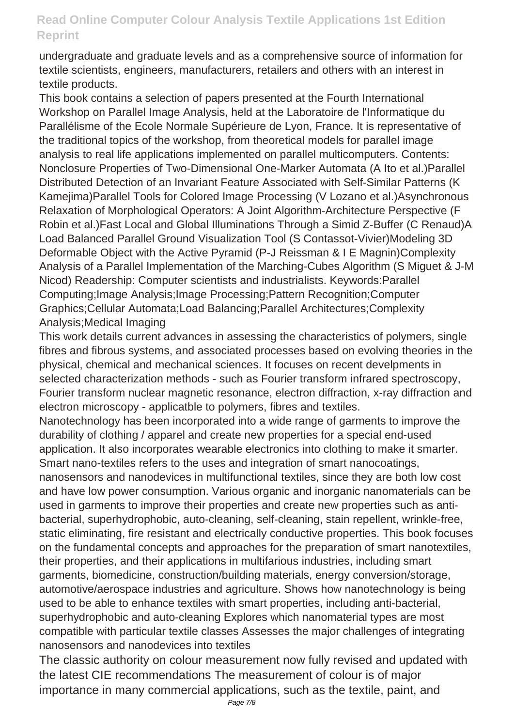undergraduate and graduate levels and as a comprehensive source of information for textile scientists, engineers, manufacturers, retailers and others with an interest in textile products.

This book contains a selection of papers presented at the Fourth International Workshop on Parallel Image Analysis, held at the Laboratoire de l'Informatique du Parallélisme of the Ecole Normale Supérieure de Lyon, France. It is representative of the traditional topics of the workshop, from theoretical models for parallel image analysis to real life applications implemented on parallel multicomputers. Contents: Nonclosure Properties of Two-Dimensional One-Marker Automata (A Ito et al.)Parallel Distributed Detection of an Invariant Feature Associated with Self-Similar Patterns (K Kamejima)Parallel Tools for Colored Image Processing (V Lozano et al.)Asynchronous Relaxation of Morphological Operators: A Joint Algorithm-Architecture Perspective (F Robin et al.)Fast Local and Global Illuminations Through a Simid Z-Buffer (C Renaud)A Load Balanced Parallel Ground Visualization Tool (S Contassot-Vivier)Modeling 3D Deformable Object with the Active Pyramid (P-J Reissman & I E Magnin)Complexity Analysis of a Parallel Implementation of the Marching-Cubes Algorithm (S Miguet & J-M Nicod) Readership: Computer scientists and industrialists. Keywords:Parallel Computing;Image Analysis;Image Processing;Pattern Recognition;Computer Graphics;Cellular Automata;Load Balancing;Parallel Architectures;Complexity Analysis;Medical Imaging

This work details current advances in assessing the characteristics of polymers, single fibres and fibrous systems, and associated processes based on evolving theories in the physical, chemical and mechanical sciences. It focuses on recent develpments in selected characterization methods - such as Fourier transform infrared spectroscopy, Fourier transform nuclear magnetic resonance, electron diffraction, x-ray diffraction and electron microscopy - applicatble to polymers, fibres and textiles.

Nanotechnology has been incorporated into a wide range of garments to improve the durability of clothing / apparel and create new properties for a special end-used application. It also incorporates wearable electronics into clothing to make it smarter. Smart nano-textiles refers to the uses and integration of smart nanocoatings, nanosensors and nanodevices in multifunctional textiles, since they are both low cost and have low power consumption. Various organic and inorganic nanomaterials can be used in garments to improve their properties and create new properties such as antibacterial, superhydrophobic, auto-cleaning, self-cleaning, stain repellent, wrinkle-free, static eliminating, fire resistant and electrically conductive properties. This book focuses on the fundamental concepts and approaches for the preparation of smart nanotextiles, their properties, and their applications in multifarious industries, including smart garments, biomedicine, construction/building materials, energy conversion/storage, automotive/aerospace industries and agriculture. Shows how nanotechnology is being used to be able to enhance textiles with smart properties, including anti-bacterial, superhydrophobic and auto-cleaning Explores which nanomaterial types are most compatible with particular textile classes Assesses the major challenges of integrating nanosensors and nanodevices into textiles

The classic authority on colour measurement now fully revised and updated with the latest CIE recommendations The measurement of colour is of major importance in many commercial applications, such as the textile, paint, and